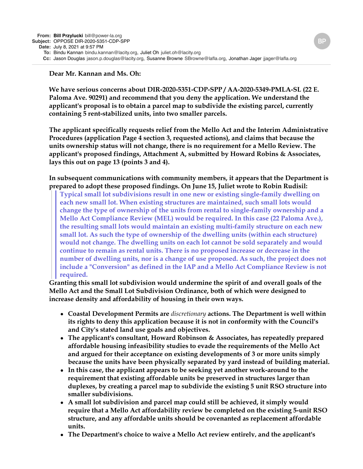## **Dear Mr. Kannan and Ms. Oh:**

**We have serious concerns about DIR-2020-5351-CDP-SPP / AA-2020-5349-PMLA-SL (22 E. Paloma Ave. 90291) and recommend that you deny the application. We understand the applicant's proposal is to obtain a parcel map to subdivide the existing parcel, currently containing 5 rent-stabilized units, into two smaller parcels.**

**The applicant specifically requests relief from the Mello Act and the Interim Administrative Procedures (application Page 4 section 3, requested actions), and claims that because the units ownership status will not change, there is no requirement for a Mello Review. The applicant's proposed findings, Attachment A, submitted by Howard Robins & Associates, lays this out on page 13 (points 3 and 4).**

## **In subsequent communications with community members, it appears that the Department is prepared to adopt these proposed findings. On June 15, Juliet wrote to Robin Rudisil:**

**Typical small lot subdivisions result in one new or existing single-family dwelling on each new small lot. When existing structures are maintained, such small lots would change the type of ownership of the units from rental to single-family ownership and a Mello Act Compliance Review (MEL) would be required. In this case (22 Paloma Ave.), the resulting small lots would maintain an existing multi-family structure on each new small lot. As such the type of ownership of the dwelling units (within each structure) would not change. The dwelling units on each lot cannot be sold separately and would continue to remain as rental units. There is no proposed increase or decrease in the number of dwelling units, nor is a change of use proposed. As such, the project does not include a "Conversion" as defined in the IAP and a Mello Act Compliance Review is not required.** 

**Granting this small lot subdivision would undermine the spirit of and overall goals of the Mello Act and the Small Lot Subdivision Ordinance, both of which were designed to increase density and affordability of housing in their own ways.**

- **Coastal Development Permits are** *discretionary* **actions. The Department is well within its rights to deny this application because it is not in conformity with the Council's and City's stated land use goals and objectives.**
- **The applicant's consultant, Howard Robinson & Associates, has repeatedly prepared affordable housing infeasibility studies to evade the requirements of the Mello Act and argued for their acceptance on existing developments of 3 or more units simply because the units have been physically separated by yard instead of building material.**
- **In this case, the applicant appears to be seeking yet another work-around to the requirement that existing affordable units be preserved in structures larger than duplexes, by creating a parcel map to subdivide the existing 5 unit RSO structure into smaller subdivisions.**
- **A small lot subdivision and parcel map could still be achieved, it simply would require that a Mello Act affordability review be completed on the existing 5-unit RSO structure, and any affordable units should be covenanted as replacement affordable units.**
- **The Department's choice to waive a Mello Act review entirely, and the applicant's**